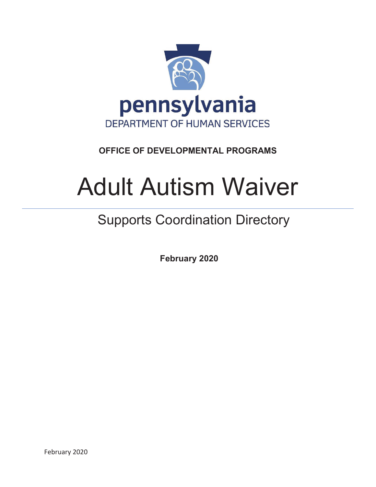

# **OFFICE OF DEVELOPMENTAL PROGRAMS**

# Adult Autism Waiver

# Supports Coordination Directory

 **February 2020**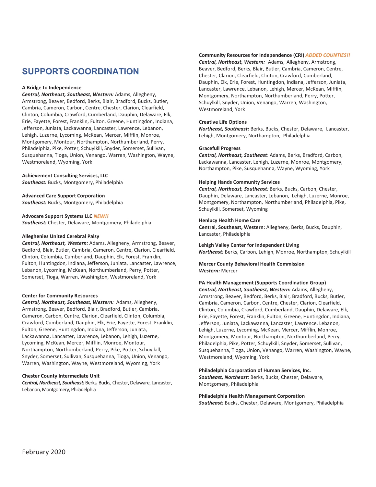# **SUPPORTS COORDINATION**

#### **A Bridge to Independence**

*Central, Northeast, Southeast, Western:* Adams, Allegheny, Armstrong, Beaver, Bedford, Berks, Blair, Bradford, Bucks, Butler, Cambria, Cameron, Carbon, Centre, Chester, Clarion, Clearfield, Clinton, Columbia, Crawford, Cumberland, Dauphin, Delaware, Elk, Erie, Fayette, Forest, Franklin, Fulton, Greene, Huntingdon, Indiana, Jefferson, Juniata, Lackawanna, Lancaster, Lawrence, Lebanon, Lehigh, Luzerne, Lycoming, McKean, Mercer, Mifflin, Monroe, Montgomery, Montour, Northampton, Northumberland, Perry, Philadelphia, Pike, Potter, Schuylkill, Snyder, Somerset, Sullivan, Susquehanna, Tioga, Union, Venango, Warren, Washington, Wayne, Westmoreland, Wyoming, York

#### **Achievement Consulting Services, LLC**

*Southeast:* Bucks, Montgomery, Philadelphia

**Advanced Care Support Corporation**  *Southeast:* Bucks, Montgomery, Philadelphia

**Advocare Support Systems LLC** *NEW!! Southeast:* Chester, Delaware, Montgomery, Philadelphia

#### **Alleghenies United Cerebral Palsy**

*Central, Northeast, Western:* Adams, Allegheny, Armstrong, Beaver, Bedford, Blair, Butler, Cambria, Cameron, Centre, Clarion, Clearfield, Clinton, Columbia, Cumberland, Dauphin, Elk, Forest, Franklin, Fulton, Huntingdon, Indiana, Jefferson, Juniata, Lancaster, Lawrence, Lebanon, Lycoming, McKean, Northumberland, Perry, Potter, Somerset, Tioga, Warren, Washington, Westmoreland, York

#### **Center for Community Resources**

*Central, Northeast, Southeast, Western:* Adams, Allegheny, Armstrong, Beaver, Bedford, Blair, Bradford, Butler, Cambria, Cameron, Carbon, Centre, Clarion, Clearfield, Clinton, Columbia, Crawford, Cumberland, Dauphin, Elk, Erie, Fayette, Forest, Franklin, Fulton, Greene, Huntingdon, Indiana, Jefferson, Juniata, Lackawanna, Lancaster, Lawrence, Lebanon, Lehigh, Luzerne, Lycoming, McKean, Mercer, Mifflin, Monroe, Montour, Northampton, Northumberland, Perry, Pike, Potter, Schuylkill, Snyder, Somerset, Sullivan, Susquehanna, Tioga, Union, Venango, Warren, Washington, Wayne, Westmoreland, Wyoming, York

#### **Chester County Intermediate Unit**

*Central, Northeast, Southeast:* Berks, Bucks, Chester, Delaware, Lancaster, Lebanon, Montgomery, Philadelphia

#### **Community Resources for Independence (CRI)** *ADDED COUNTIES!!*

*Central, Northeast, Western:* Adams, Allegheny, Armstrong, Beaver, Bedford, Berks, Blair, Butler, Cambria, Cameron, Centre, Chester, Clarion, Clearfield, Clinton, Crawford, Cumberland, Dauphin, Elk, Erie, Forest, Huntingdon, Indiana, Jefferson, Juniata, Lancaster, Lawrence, Lebanon, Lehigh, Mercer, McKean, Mifflin, Montgomery, Northampton, Northumberland, Perry, Potter, Schuylkill, Snyder, Union, Venango, Warren, Washington, Westmoreland, York

#### **Creative Life Options**

*Northeast, Southeast:* Berks, Bucks, Chester, Delaware, Lancaster, Lehigh, Montgomery, Northampton, Philadelphia

#### **Gracefull Progress**

*Central, Northeast, Southeast*: Adams, Berks, Bradford, Carbon, Lackawanna, Lancaster, Lehigh, Luzerne, Monroe, Montgomery, Northampton, Pike, Susquehanna, Wayne, Wyoming, York

#### **Helping Hands Community Services**

*Central, Northeast, Southeast:* Berks, Bucks, Carbon, Chester, Dauphin, Delaware, Lancaster, Lebanon, Lehigh, Luzerne, Monroe, Montgomery, Northampton, Northumberland, Philadelphia, Pike, Schuylkill, Somerset, Wyoming

#### **Henlucy Health Home Care**

**Central, Southeast, Western:** Allegheny, Berks, Bucks, Dauphin, Lancaster, Philadelphia

#### **Lehigh Valley Center for Independent Living**

*Northeast:* Berks, Carbon, Lehigh, Monroe, Northampton, Schuylkill

#### **Mercer County Behavioral Health Commission** *Western:* Mercer

#### **PA Health Management (Supports Coordination Group)**

*Central, Northeast, Southeast, Western:* Adams, Allegheny, Armstrong, Beaver, Bedford, Berks, Blair, Bradford, Bucks, Butler, Cambria, Cameron, Carbon, Centre, Chester, Clarion, Clearfield, Clinton, Columbia, Crawford, Cumberland, Dauphin, Delaware, Elk, Erie, Fayette, Forest, Franklin, Fulton, Greene, Huntingdon, Indiana, Jefferson, Juniata, Lackawanna, Lancaster, Lawrence, Lebanon, Lehigh, Luzerne, Lycoming, McKean, Mercer, Mifflin, Monroe, Montgomery, Montour, Northampton, Northumberland, Perry, Philadelphia, Pike, Potter, Schuylkill, Snyder, Somerset, Sullivan, Susquehanna, Tioga, Union, Venango, Warren, Washington, Wayne, Westmoreland, Wyoming, York

#### **Philadelphia Corporation of Human Services, Inc.**

*Southeast, Northeast:* Berks, Bucks, Chester, Delaware, Montgomery, Philadelphia

## **Philadelphia Health Management Corporation**

*Southeast:* Bucks, Chester, Delaware, Montgomery, Philadelphia